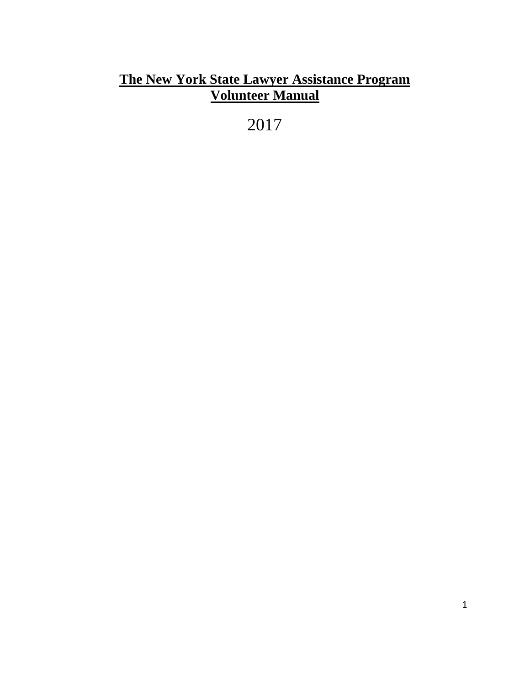# **The New York State Lawyer Assistance Program Volunteer Manual**

2017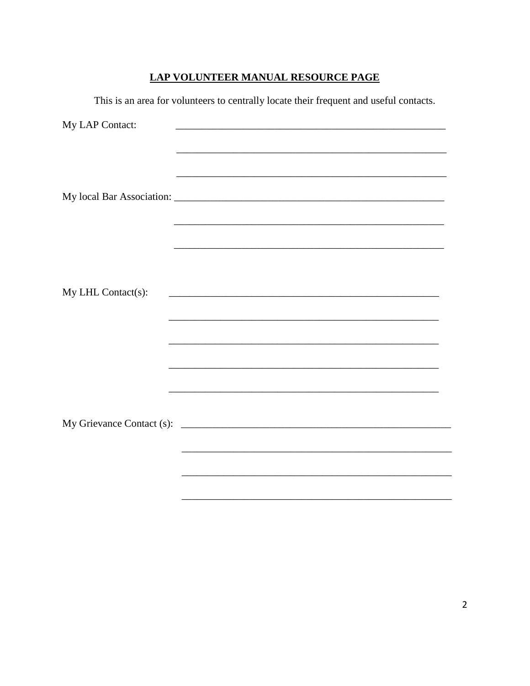# **LAP VOLUNTEER MANUAL RESOURCE PAGE**

This is an area for volunteers to centrally locate their frequent and useful contacts.

| <u> 1989 - Johann John Stoff, deutscher Stoffen und der Stoffen und der Stoffen und der Stoffen und der Stoffen u</u> |
|-----------------------------------------------------------------------------------------------------------------------|
|                                                                                                                       |
|                                                                                                                       |
|                                                                                                                       |
|                                                                                                                       |
|                                                                                                                       |
|                                                                                                                       |
|                                                                                                                       |
|                                                                                                                       |
|                                                                                                                       |
|                                                                                                                       |
|                                                                                                                       |
|                                                                                                                       |
|                                                                                                                       |
|                                                                                                                       |
|                                                                                                                       |
|                                                                                                                       |
|                                                                                                                       |
|                                                                                                                       |
|                                                                                                                       |
|                                                                                                                       |
|                                                                                                                       |
|                                                                                                                       |
|                                                                                                                       |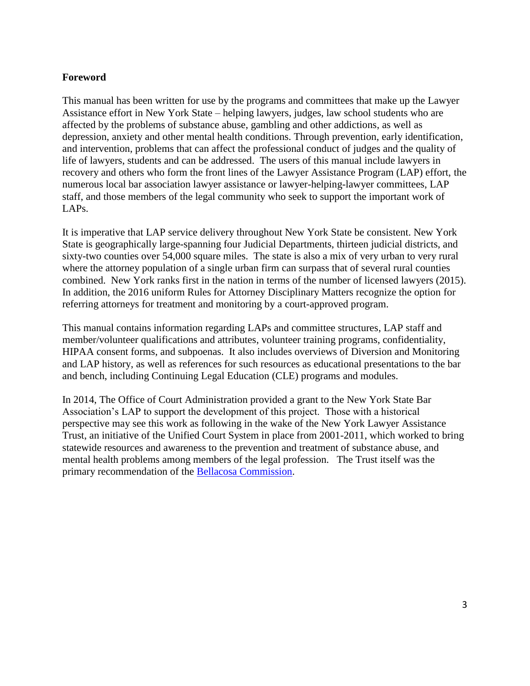## **Foreword**

This manual has been written for use by the programs and committees that make up the Lawyer Assistance effort in New York State – helping lawyers, judges, law school students who are affected by the problems of substance abuse, gambling and other addictions, as well as depression, anxiety and other mental health conditions. Through prevention, early identification, and intervention, problems that can affect the professional conduct of judges and the quality of life of lawyers, students and can be addressed. The users of this manual include lawyers in recovery and others who form the front lines of the Lawyer Assistance Program (LAP) effort, the numerous local bar association lawyer assistance or lawyer-helping-lawyer committees, LAP staff, and those members of the legal community who seek to support the important work of LAPs.

It is imperative that LAP service delivery throughout New York State be consistent. New York State is geographically large-spanning four Judicial Departments, thirteen judicial districts, and sixty-two counties over 54,000 square miles. The state is also a mix of very urban to very rural where the attorney population of a single urban firm can surpass that of several rural counties combined. New York ranks first in the nation in terms of the number of licensed lawyers (2015). In addition, the 2016 uniform Rules for Attorney Disciplinary Matters recognize the option for referring attorneys for treatment and monitoring by a court-approved program.

This manual contains information regarding LAPs and committee structures, LAP staff and member/volunteer qualifications and attributes, volunteer training programs, confidentiality, HIPAA consent forms, and subpoenas. It also includes overviews of Diversion and Monitoring and LAP history, as well as references for such resources as educational presentations to the bar and bench, including Continuing Legal Education (CLE) programs and modules.

In 2014, The Office of Court Administration provided a grant to the New York State Bar Association's LAP to support the development of this project. Those with a historical perspective may see this work as following in the wake of the New York Lawyer Assistance Trust, an initiative of the Unified Court System in place from 2001-2011, which worked to bring statewide resources and awareness to the prevention and treatment of substance abuse, and mental health problems among members of the legal profession. The Trust itself was the primary recommendation of the [Bellacosa Commission.](http://www.nylat.org/documents/bellacosacommreport.pdf)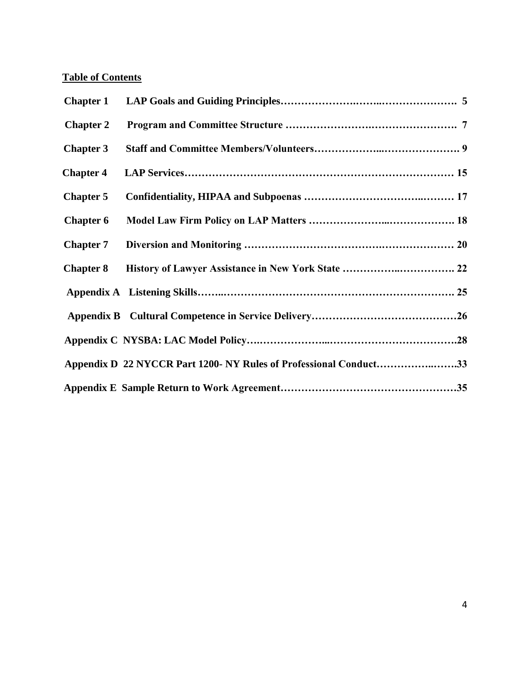# **Table of Contents**

| <b>Chapter 2</b> |                                                                   |  |
|------------------|-------------------------------------------------------------------|--|
| <b>Chapter 3</b> |                                                                   |  |
| <b>Chapter 4</b> |                                                                   |  |
| <b>Chapter 5</b> |                                                                   |  |
| <b>Chapter 6</b> |                                                                   |  |
| <b>Chapter 7</b> |                                                                   |  |
| <b>Chapter 8</b> |                                                                   |  |
|                  |                                                                   |  |
|                  |                                                                   |  |
|                  |                                                                   |  |
|                  | Appendix D 22 NYCCR Part 1200- NY Rules of Professional Conduct33 |  |
|                  |                                                                   |  |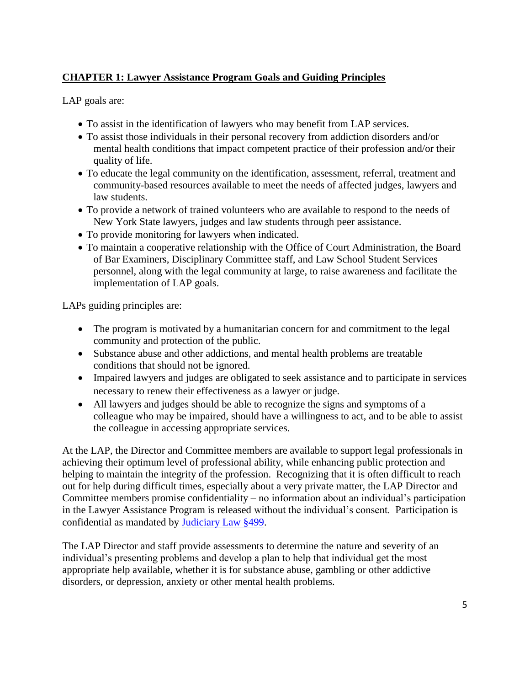# **CHAPTER 1: Lawyer Assistance Program Goals and Guiding Principles**

LAP goals are:

- To assist in the identification of lawyers who may benefit from LAP services.
- To assist those individuals in their personal recovery from addiction disorders and/or mental health conditions that impact competent practice of their profession and/or their quality of life.
- To educate the legal community on the identification, assessment, referral, treatment and community-based resources available to meet the needs of affected judges, lawyers and law students.
- To provide a network of trained volunteers who are available to respond to the needs of New York State lawyers, judges and law students through peer assistance.
- To provide monitoring for lawyers when indicated.
- To maintain a cooperative relationship with the Office of Court Administration, the Board of Bar Examiners, Disciplinary Committee staff, and Law School Student Services personnel, along with the legal community at large, to raise awareness and facilitate the implementation of LAP goals.

LAPs guiding principles are:

- The program is motivated by a humanitarian concern for and commitment to the legal community and protection of the public.
- Substance abuse and other addictions, and mental health problems are treatable conditions that should not be ignored.
- Impaired lawyers and judges are obligated to seek assistance and to participate in services necessary to renew their effectiveness as a lawyer or judge.
- All lawyers and judges should be able to recognize the signs and symptoms of a colleague who may be impaired, should have a willingness to act, and to be able to assist the colleague in accessing appropriate services.

At the LAP, the Director and Committee members are available to support legal professionals in achieving their optimum level of professional ability, while enhancing public protection and helping to maintain the integrity of the profession. Recognizing that it is often difficult to reach out for help during difficult times, especially about a very private matter, the LAP Director and Committee members promise confidentiality – no information about an individual's participation in the Lawyer Assistance Program is released without the individual's consent. Participation is confidential as mandated by [Judiciary Law §499.](file:///C:/Users/lmcmahon/Desktop/Judiciary%20Law%20499.pdf)

The LAP Director and staff provide assessments to determine the nature and severity of an individual's presenting problems and develop a plan to help that individual get the most appropriate help available, whether it is for substance abuse, gambling or other addictive disorders, or depression, anxiety or other mental health problems.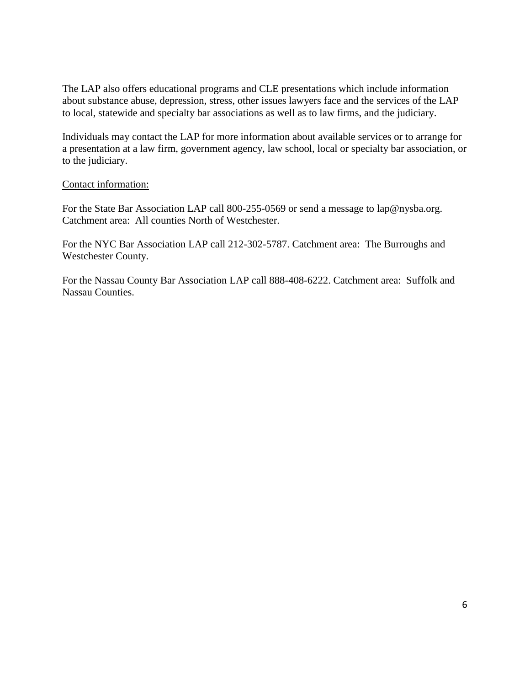The LAP also offers educational programs and CLE presentations which include information about substance abuse, depression, stress, other issues lawyers face and the services of the LAP to local, statewide and specialty bar associations as well as to law firms, and the judiciary.

Individuals may contact the LAP for more information about available services or to arrange for a presentation at a law firm, government agency, law school, local or specialty bar association, or to the judiciary.

#### Contact information:

For the State Bar Association LAP call 800-255-0569 or send a message to lap@nysba.org. Catchment area: All counties North of Westchester.

For the NYC Bar Association LAP call 212-302-5787. Catchment area: The Burroughs and Westchester County.

For the Nassau County Bar Association LAP call 888-408-6222. Catchment area: Suffolk and Nassau Counties.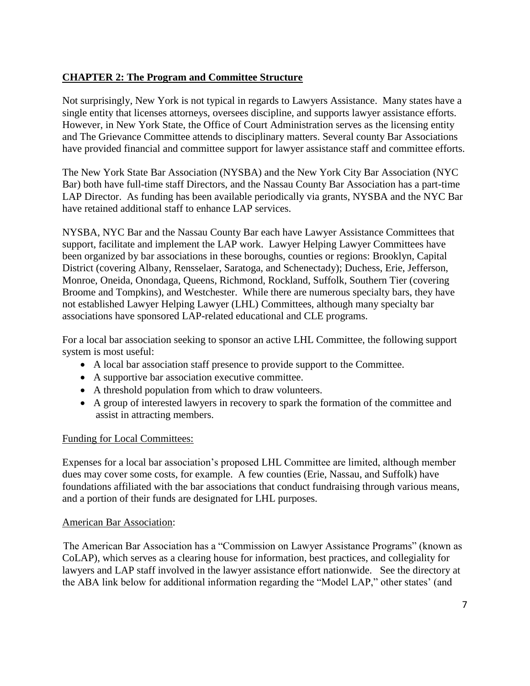# **CHAPTER 2: The Program and Committee Structure**

Not surprisingly, New York is not typical in regards to Lawyers Assistance. Many states have a single entity that licenses attorneys, oversees discipline, and supports lawyer assistance efforts. However, in New York State, the Office of Court Administration serves as the licensing entity and The Grievance Committee attends to disciplinary matters. Several county Bar Associations have provided financial and committee support for lawyer assistance staff and committee efforts.

The New York State Bar Association (NYSBA) and the New York City Bar Association (NYC Bar) both have full-time staff Directors, and the Nassau County Bar Association has a part-time LAP Director. As funding has been available periodically via grants, NYSBA and the NYC Bar have retained additional staff to enhance LAP services.

NYSBA, NYC Bar and the Nassau County Bar each have Lawyer Assistance Committees that support, facilitate and implement the LAP work. Lawyer Helping Lawyer Committees have been organized by bar associations in these boroughs, counties or regions: Brooklyn, Capital District (covering Albany, Rensselaer, Saratoga, and Schenectady); Duchess, Erie, Jefferson, Monroe, Oneida, Onondaga, Queens, Richmond, Rockland, Suffolk, Southern Tier (covering Broome and Tompkins), and Westchester. While there are numerous specialty bars, they have not established Lawyer Helping Lawyer (LHL) Committees, although many specialty bar associations have sponsored LAP-related educational and CLE programs.

For a local bar association seeking to sponsor an active LHL Committee, the following support system is most useful:

- A local bar association staff presence to provide support to the Committee.
- A supportive bar association executive committee.
- A threshold population from which to draw volunteers.
- A group of interested lawyers in recovery to spark the formation of the committee and assist in attracting members.

## Funding for Local Committees:

Expenses for a local bar association's proposed LHL Committee are limited, although member dues may cover some costs, for example. A few counties (Erie, Nassau, and Suffolk) have foundations affiliated with the bar associations that conduct fundraising through various means, and a portion of their funds are designated for LHL purposes.

#### American Bar Association:

The American Bar Association has a "Commission on Lawyer Assistance Programs" (known as CoLAP), which serves as a clearing house for information, best practices, and collegiality for lawyers and LAP staff involved in the lawyer assistance effort nationwide. See the directory at the ABA link below for additional information regarding the "Model LAP," other states' (and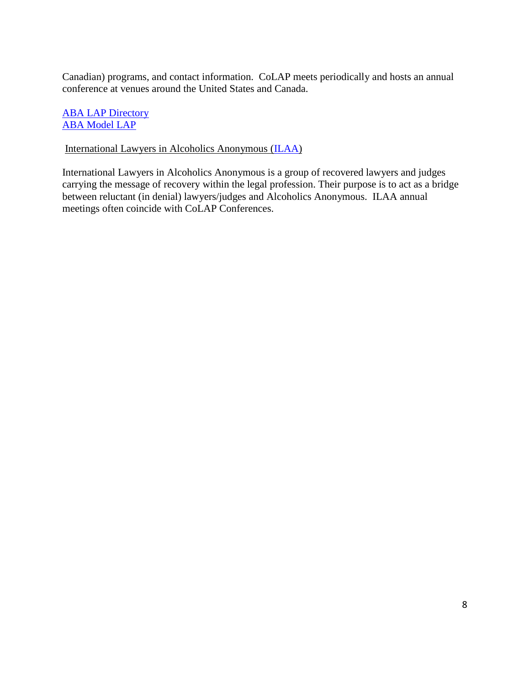Canadian) programs, and contact information. CoLAP meets periodically and hosts an annual conference at venues around the United States and Canada.

**[ABA LAP Directory](http://www.americanbar.org/groups/lawyer_assistance/resources/lap_programs_by_state.html)** [ABA Model LAP](http://www.americanbar.org/content/dam/aba/administrative/lawyer_assistance/ls_colap_model_lawyer_assistance_program.authcheckdam.pdf)

International Lawyers in Alcoholics Anonymous [\(ILAA\)](http://www.ilaa.org/home/)

International Lawyers in Alcoholics Anonymous is a group of recovered lawyers and judges carrying the message of recovery within the legal profession. Their purpose is to act as a bridge between reluctant (in denial) lawyers/judges and Alcoholics Anonymous. ILAA annual meetings often coincide with CoLAP Conferences.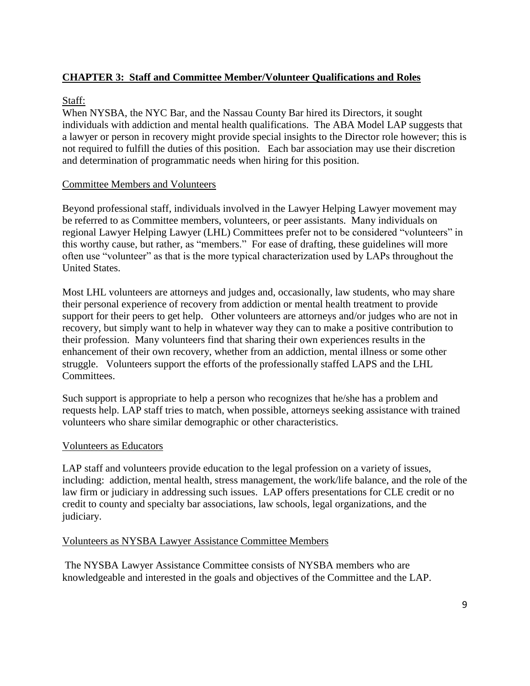# **CHAPTER 3: Staff and Committee Member/Volunteer Qualifications and Roles**

## Staff:

When NYSBA, the NYC Bar, and the Nassau County Bar hired its Directors, it sought individuals with addiction and mental health qualifications. The ABA Model LAP suggests that a lawyer or person in recovery might provide special insights to the Director role however; this is not required to fulfill the duties of this position. Each bar association may use their discretion and determination of programmatic needs when hiring for this position.

#### Committee Members and Volunteers

Beyond professional staff, individuals involved in the Lawyer Helping Lawyer movement may be referred to as Committee members, volunteers, or peer assistants. Many individuals on regional Lawyer Helping Lawyer (LHL) Committees prefer not to be considered "volunteers" in this worthy cause, but rather, as "members." For ease of drafting, these guidelines will more often use "volunteer" as that is the more typical characterization used by LAPs throughout the United States.

Most LHL volunteers are attorneys and judges and, occasionally, law students, who may share their personal experience of recovery from addiction or mental health treatment to provide support for their peers to get help. Other volunteers are attorneys and/or judges who are not in recovery, but simply want to help in whatever way they can to make a positive contribution to their profession. Many volunteers find that sharing their own experiences results in the enhancement of their own recovery, whether from an addiction, mental illness or some other struggle. Volunteers support the efforts of the professionally staffed LAPS and the LHL Committees.

Such support is appropriate to help a person who recognizes that he/she has a problem and requests help. LAP staff tries to match, when possible, attorneys seeking assistance with trained volunteers who share similar demographic or other characteristics.

## Volunteers as Educators

LAP staff and volunteers provide education to the legal profession on a variety of issues, including: addiction, mental health, stress management, the work/life balance, and the role of the law firm or judiciary in addressing such issues. LAP offers presentations for CLE credit or no credit to county and specialty bar associations, law schools, legal organizations, and the judiciary.

## Volunteers as NYSBA Lawyer Assistance Committee Members

The NYSBA Lawyer Assistance Committee consists of NYSBA members who are knowledgeable and interested in the goals and objectives of the Committee and the LAP.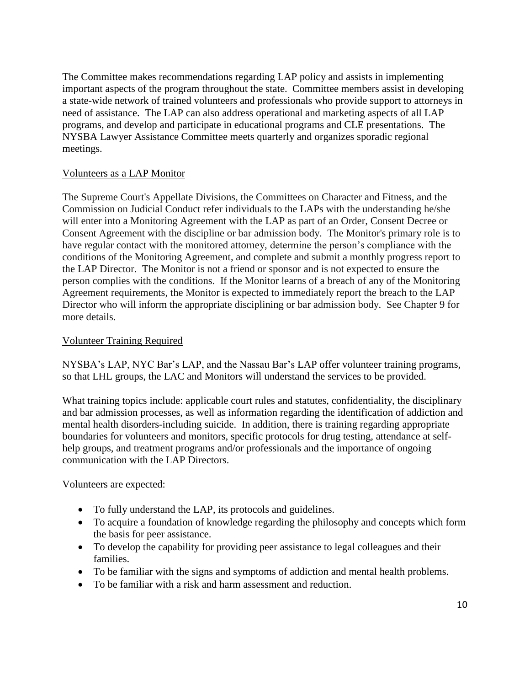The Committee makes recommendations regarding LAP policy and assists in implementing important aspects of the program throughout the state. Committee members assist in developing a state-wide network of trained volunteers and professionals who provide support to attorneys in need of assistance. The LAP can also address operational and marketing aspects of all LAP programs, and develop and participate in educational programs and CLE presentations. The NYSBA Lawyer Assistance Committee meets quarterly and organizes sporadic regional meetings.

#### Volunteers as a LAP Monitor

The Supreme Court's Appellate Divisions, the Committees on Character and Fitness, and the Commission on Judicial Conduct refer individuals to the LAPs with the understanding he/she will enter into a Monitoring Agreement with the LAP as part of an Order, Consent Decree or Consent Agreement with the discipline or bar admission body. The Monitor's primary role is to have regular contact with the monitored attorney, determine the person's compliance with the conditions of the Monitoring Agreement, and complete and submit a monthly progress report to the LAP Director. The Monitor is not a friend or sponsor and is not expected to ensure the person complies with the conditions. If the Monitor learns of a breach of any of the Monitoring Agreement requirements, the Monitor is expected to immediately report the breach to the LAP Director who will inform the appropriate disciplining or bar admission body. See Chapter 9 for more details.

#### Volunteer Training Required

NYSBA's LAP, NYC Bar's LAP, and the Nassau Bar's LAP offer volunteer training programs, so that LHL groups, the LAC and Monitors will understand the services to be provided.

What training topics include: applicable court rules and statutes, confidentiality, the disciplinary and bar admission processes, as well as information regarding the identification of addiction and mental health disorders-including suicide. In addition, there is training regarding appropriate boundaries for volunteers and monitors, specific protocols for drug testing, attendance at selfhelp groups, and treatment programs and/or professionals and the importance of ongoing communication with the LAP Directors.

Volunteers are expected:

- To fully understand the LAP, its protocols and guidelines.
- To acquire a foundation of knowledge regarding the philosophy and concepts which form the basis for peer assistance.
- To develop the capability for providing peer assistance to legal colleagues and their families.
- To be familiar with the signs and symptoms of addiction and mental health problems.
- To be familiar with a risk and harm assessment and reduction.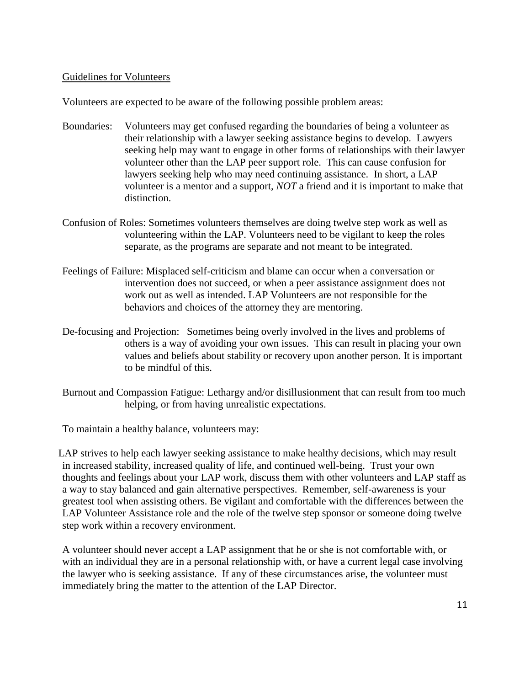#### Guidelines for Volunteers

Volunteers are expected to be aware of the following possible problem areas:

- Boundaries: Volunteers may get confused regarding the boundaries of being a volunteer as their relationship with a lawyer seeking assistance begins to develop. Lawyers seeking help may want to engage in other forms of relationships with their lawyer volunteer other than the LAP peer support role. This can cause confusion for lawyers seeking help who may need continuing assistance. In short, a LAP volunteer is a mentor and a support, *NOT* a friend and it is important to make that distinction.
- Confusion of Roles: Sometimes volunteers themselves are doing twelve step work as well as volunteering within the LAP. Volunteers need to be vigilant to keep the roles separate, as the programs are separate and not meant to be integrated.
- Feelings of Failure: Misplaced self-criticism and blame can occur when a conversation or intervention does not succeed, or when a peer assistance assignment does not work out as well as intended. LAP Volunteers are not responsible for the behaviors and choices of the attorney they are mentoring.
- De-focusing and Projection: Sometimes being overly involved in the lives and problems of others is a way of avoiding your own issues. This can result in placing your own values and beliefs about stability or recovery upon another person. It is important to be mindful of this.
- Burnout and Compassion Fatigue: Lethargy and/or disillusionment that can result from too much helping, or from having unrealistic expectations.

To maintain a healthy balance, volunteers may:

LAP strives to help each lawyer seeking assistance to make healthy decisions, which may result in increased stability, increased quality of life, and continued well-being. Trust your own thoughts and feelings about your LAP work, discuss them with other volunteers and LAP staff as a way to stay balanced and gain alternative perspectives. Remember, self-awareness is your greatest tool when assisting others. Be vigilant and comfortable with the differences between the LAP Volunteer Assistance role and the role of the twelve step sponsor or someone doing twelve step work within a recovery environment.

A volunteer should never accept a LAP assignment that he or she is not comfortable with, or with an individual they are in a personal relationship with, or have a current legal case involving the lawyer who is seeking assistance. If any of these circumstances arise, the volunteer must immediately bring the matter to the attention of the LAP Director.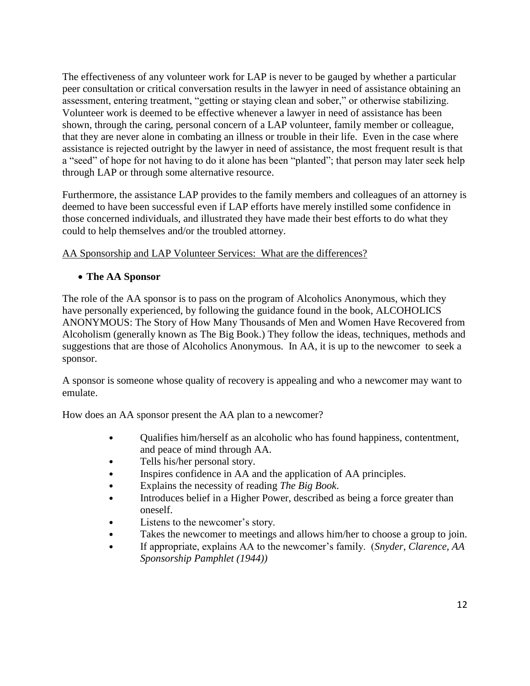The effectiveness of any volunteer work for LAP is never to be gauged by whether a particular peer consultation or critical conversation results in the lawyer in need of assistance obtaining an assessment, entering treatment, "getting or staying clean and sober," or otherwise stabilizing. Volunteer work is deemed to be effective whenever a lawyer in need of assistance has been shown, through the caring, personal concern of a LAP volunteer, family member or colleague, that they are never alone in combating an illness or trouble in their life. Even in the case where assistance is rejected outright by the lawyer in need of assistance, the most frequent result is that a "seed" of hope for not having to do it alone has been "planted"; that person may later seek help through LAP or through some alternative resource.

Furthermore, the assistance LAP provides to the family members and colleagues of an attorney is deemed to have been successful even if LAP efforts have merely instilled some confidence in those concerned individuals, and illustrated they have made their best efforts to do what they could to help themselves and/or the troubled attorney.

# AA Sponsorship and LAP Volunteer Services: What are the differences?

# **The AA Sponsor**

The role of the AA sponsor is to pass on the program of Alcoholics Anonymous, which they have personally experienced, by following the guidance found in the book, ALCOHOLICS ANONYMOUS: The Story of How Many Thousands of Men and Women Have Recovered from Alcoholism (generally known as The Big Book.) They follow the ideas, techniques, methods and suggestions that are those of Alcoholics Anonymous. In AA, it is up to the newcomer to seek a sponsor.

A sponsor is someone whose quality of recovery is appealing and who a newcomer may want to emulate.

How does an AA sponsor present the AA plan to a newcomer?

- Qualifies him/herself as an alcoholic who has found happiness, contentment, and peace of mind through AA.
- Tells his/her personal story.
- Inspires confidence in AA and the application of AA principles.
- Explains the necessity of reading *The Big Book*.
- Introduces belief in a Higher Power, described as being a force greater than oneself.
- Listens to the newcomer's story.
- Takes the newcomer to meetings and allows him/her to choose a group to join.
- If appropriate, explains AA to the newcomer's family. (*Snyder, Clarence, AA Sponsorship Pamphlet (1944))*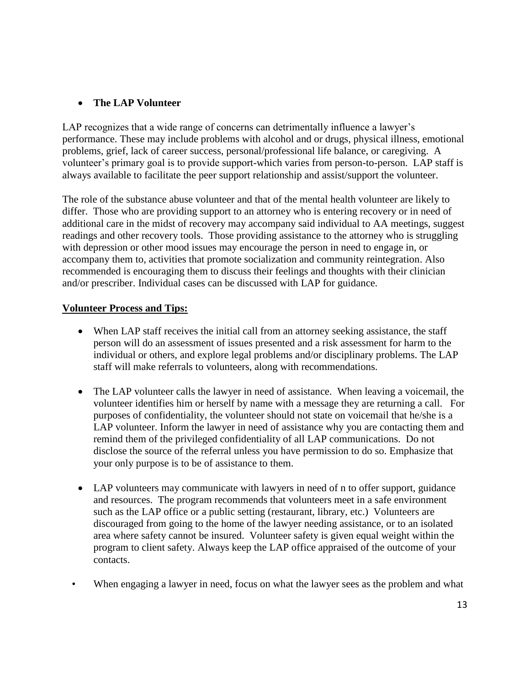## **The LAP Volunteer**

LAP recognizes that a wide range of concerns can detrimentally influence a lawyer's performance. These may include problems with alcohol and or drugs, physical illness, emotional problems, grief, lack of career success, personal/professional life balance, or caregiving. A volunteer's primary goal is to provide support-which varies from person-to-person. LAP staff is always available to facilitate the peer support relationship and assist/support the volunteer.

The role of the substance abuse volunteer and that of the mental health volunteer are likely to differ. Those who are providing support to an attorney who is entering recovery or in need of additional care in the midst of recovery may accompany said individual to AA meetings, suggest readings and other recovery tools. Those providing assistance to the attorney who is struggling with depression or other mood issues may encourage the person in need to engage in, or accompany them to, activities that promote socialization and community reintegration. Also recommended is encouraging them to discuss their feelings and thoughts with their clinician and/or prescriber. Individual cases can be discussed with LAP for guidance.

## **Volunteer Process and Tips:**

- When LAP staff receives the initial call from an attorney seeking assistance, the staff person will do an assessment of issues presented and a risk assessment for harm to the individual or others, and explore legal problems and/or disciplinary problems. The LAP staff will make referrals to volunteers, along with recommendations.
- The LAP volunteer calls the lawyer in need of assistance. When leaving a voicemail, the volunteer identifies him or herself by name with a message they are returning a call. For purposes of confidentiality, the volunteer should not state on voicemail that he/she is a LAP volunteer. Inform the lawyer in need of assistance why you are contacting them and remind them of the privileged confidentiality of all LAP communications. Do not disclose the source of the referral unless you have permission to do so. Emphasize that your only purpose is to be of assistance to them.
- LAP volunteers may communicate with lawyers in need of n to offer support, guidance and resources. The program recommends that volunteers meet in a safe environment such as the LAP office or a public setting (restaurant, library, etc.) Volunteers are discouraged from going to the home of the lawyer needing assistance, or to an isolated area where safety cannot be insured. Volunteer safety is given equal weight within the program to client safety. Always keep the LAP office appraised of the outcome of your contacts.
- When engaging a lawyer in need, focus on what the lawyer sees as the problem and what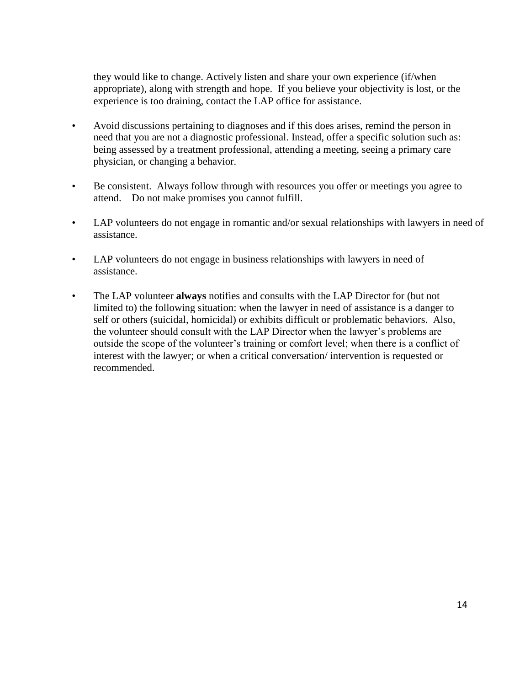they would like to change. Actively listen and share your own experience (if/when appropriate), along with strength and hope. If you believe your objectivity is lost, or the experience is too draining, contact the LAP office for assistance.

- Avoid discussions pertaining to diagnoses and if this does arises, remind the person in need that you are not a diagnostic professional. Instead, offer a specific solution such as: being assessed by a treatment professional, attending a meeting, seeing a primary care physician, or changing a behavior.
- Be consistent. Always follow through with resources you offer or meetings you agree to attend. Do not make promises you cannot fulfill.
- LAP volunteers do not engage in romantic and/or sexual relationships with lawyers in need of assistance.
- LAP volunteers do not engage in business relationships with lawyers in need of assistance.
- The LAP volunteer **always** notifies and consults with the LAP Director for (but not limited to) the following situation: when the lawyer in need of assistance is a danger to self or others (suicidal, homicidal) or exhibits difficult or problematic behaviors. Also, the volunteer should consult with the LAP Director when the lawyer's problems are outside the scope of the volunteer's training or comfort level; when there is a conflict of interest with the lawyer; or when a critical conversation/ intervention is requested or recommended.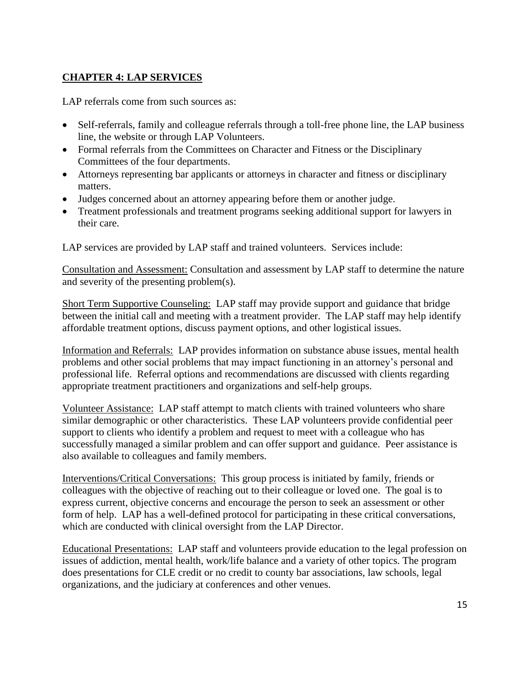# **CHAPTER 4: LAP SERVICES**

LAP referrals come from such sources as:

- Self-referrals, family and colleague referrals through a toll-free phone line, the LAP business line, the website or through LAP Volunteers.
- Formal referrals from the Committees on Character and Fitness or the Disciplinary Committees of the four departments.
- Attorneys representing bar applicants or attorneys in character and fitness or disciplinary matters.
- Judges concerned about an attorney appearing before them or another judge.
- Treatment professionals and treatment programs seeking additional support for lawyers in their care.

LAP services are provided by LAP staff and trained volunteers. Services include:

Consultation and Assessment: Consultation and assessment by LAP staff to determine the nature and severity of the presenting problem(s).

Short Term Supportive Counseling: LAP staff may provide support and guidance that bridge between the initial call and meeting with a treatment provider. The LAP staff may help identify affordable treatment options, discuss payment options, and other logistical issues.

Information and Referrals:LAP provides information on substance abuse issues, mental health problems and other social problems that may impact functioning in an attorney's personal and professional life. Referral options and recommendations are discussed with clients regarding appropriate treatment practitioners and organizations and self-help groups.

Volunteer Assistance: LAP staff attempt to match clients with trained volunteers who share similar demographic or other characteristics. These LAP volunteers provide confidential peer support to clients who identify a problem and request to meet with a colleague who has successfully managed a similar problem and can offer support and guidance. Peer assistance is also available to colleagues and family members.

Interventions/Critical Conversations:This group process is initiated by family, friends or colleagues with the objective of reaching out to their colleague or loved one. The goal is to express current, objective concerns and encourage the person to seek an assessment or other form of help. LAP has a well-defined protocol for participating in these critical conversations, which are conducted with clinical oversight from the LAP Director.

Educational Presentations: LAP staff and volunteers provide education to the legal profession on issues of addiction, mental health, work/life balance and a variety of other topics. The program does presentations for CLE credit or no credit to county bar associations, law schools, legal organizations, and the judiciary at conferences and other venues.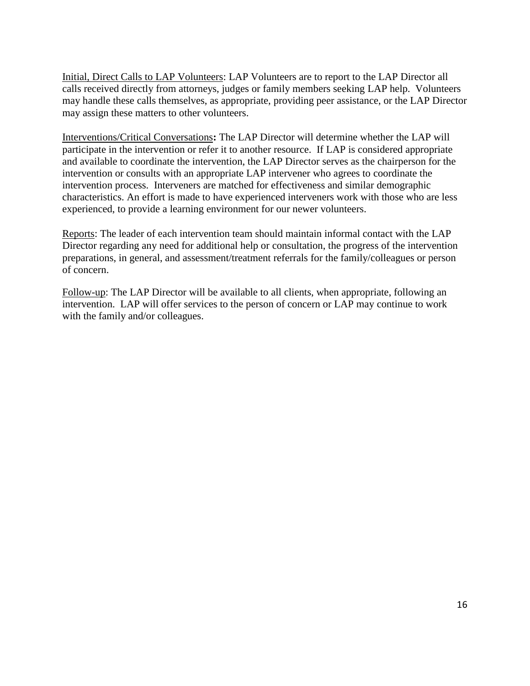Initial, Direct Calls to LAP Volunteers: LAP Volunteers are to report to the LAP Director all calls received directly from attorneys, judges or family members seeking LAP help. Volunteers may handle these calls themselves, as appropriate, providing peer assistance, or the LAP Director may assign these matters to other volunteers.

Interventions/Critical Conversations**:** The LAP Director will determine whether the LAP will participate in the intervention or refer it to another resource. If LAP is considered appropriate and available to coordinate the intervention, the LAP Director serves as the chairperson for the intervention or consults with an appropriate LAP intervener who agrees to coordinate the intervention process. Interveners are matched for effectiveness and similar demographic characteristics. An effort is made to have experienced interveners work with those who are less experienced, to provide a learning environment for our newer volunteers.

Reports: The leader of each intervention team should maintain informal contact with the LAP Director regarding any need for additional help or consultation, the progress of the intervention preparations, in general, and assessment/treatment referrals for the family/colleagues or person of concern.

Follow-up: The LAP Director will be available to all clients, when appropriate, following an intervention. LAP will offer services to the person of concern or LAP may continue to work with the family and/or colleagues.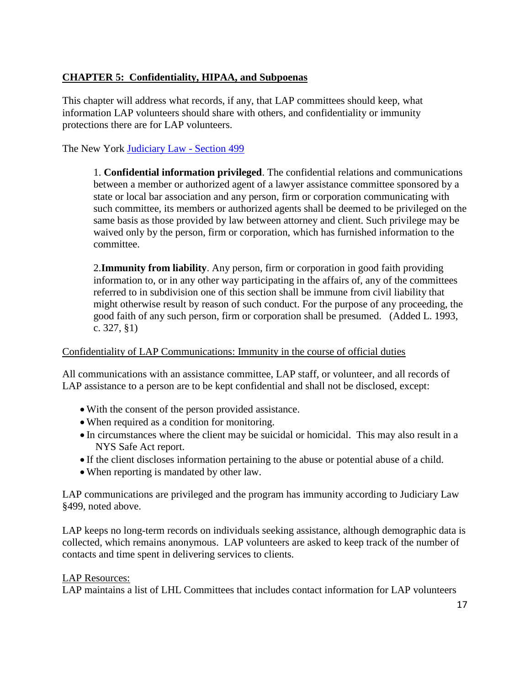# **CHAPTER 5: Confidentiality, HIPAA, and Subpoenas**

This chapter will address what records, if any, that LAP committees should keep, what information LAP volunteers should share with others, and confidentiality or immunity protections there are for LAP volunteers.

The New York [Judiciary Law -](file:///C:/Users/lmcmahon/Desktop/Judiciary%20Law%20499.pdf) Section 499

1. **Confidential information privileged**. The confidential relations and communications between a member or authorized agent of a lawyer assistance committee sponsored by a state or local bar association and any person, firm or corporation communicating with such committee, its members or authorized agents shall be deemed to be privileged on the same basis as those provided by law between attorney and client. Such privilege may be waived only by the person, firm or corporation, which has furnished information to the committee.

2.**Immunity from liability**. Any person, firm or corporation in good faith providing information to, or in any other way participating in the affairs of, any of the committees referred to in subdivision one of this section shall be immune from civil liability that might otherwise result by reason of such conduct. For the purpose of any proceeding, the good faith of any such person, firm or corporation shall be presumed. (Added L. 1993, c. 327, §1)

#### Confidentiality of LAP Communications: Immunity in the course of official duties

All communications with an assistance committee, LAP staff, or volunteer, and all records of LAP assistance to a person are to be kept confidential and shall not be disclosed, except:

- With the consent of the person provided assistance.
- When required as a condition for monitoring.
- In circumstances where the client may be suicidal or homicidal. This may also result in a NYS Safe Act report.
- If the client discloses information pertaining to the abuse or potential abuse of a child.
- When reporting is mandated by other law.

LAP communications are privileged and the program has immunity according to Judiciary Law §499, noted above.

LAP keeps no long-term records on individuals seeking assistance, although demographic data is collected, which remains anonymous. LAP volunteers are asked to keep track of the number of contacts and time spent in delivering services to clients.

#### LAP Resources:

LAP maintains a list of LHL Committees that includes contact information for LAP volunteers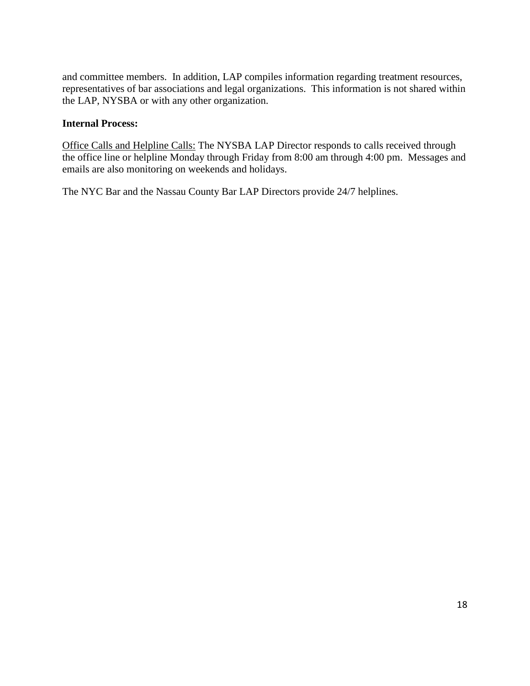and committee members. In addition, LAP compiles information regarding treatment resources, representatives of bar associations and legal organizations. This information is not shared within the LAP, NYSBA or with any other organization.

#### **Internal Process:**

Office Calls and Helpline Calls: The NYSBA LAP Director responds to calls received through the office line or helpline Monday through Friday from 8:00 am through 4:00 pm. Messages and emails are also monitoring on weekends and holidays.

The NYC Bar and the Nassau County Bar LAP Directors provide 24/7 helplines.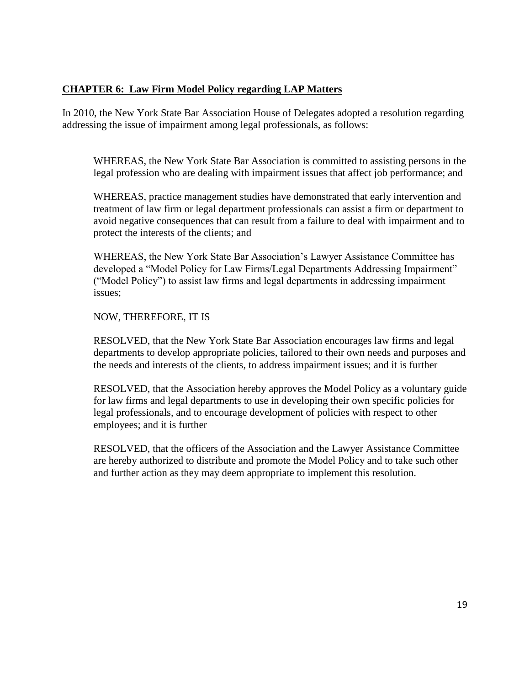## **CHAPTER 6: Law Firm Model Policy regarding LAP Matters**

In 2010, the New York State Bar Association House of Delegates adopted a resolution regarding addressing the issue of impairment among legal professionals, as follows:

WHEREAS, the New York State Bar Association is committed to assisting persons in the legal profession who are dealing with impairment issues that affect job performance; and

WHEREAS, practice management studies have demonstrated that early intervention and treatment of law firm or legal department professionals can assist a firm or department to avoid negative consequences that can result from a failure to deal with impairment and to protect the interests of the clients; and

WHEREAS, the New York State Bar Association's Lawyer Assistance Committee has developed a "Model Policy for Law Firms/Legal Departments Addressing Impairment" ("Model Policy") to assist law firms and legal departments in addressing impairment issues;

#### NOW, THEREFORE, IT IS

RESOLVED, that the New York State Bar Association encourages law firms and legal departments to develop appropriate policies, tailored to their own needs and purposes and the needs and interests of the clients, to address impairment issues; and it is further

RESOLVED, that the Association hereby approves the Model Policy as a voluntary guide for law firms and legal departments to use in developing their own specific policies for legal professionals, and to encourage development of policies with respect to other employees; and it is further

RESOLVED, that the officers of the Association and the Lawyer Assistance Committee are hereby authorized to distribute and promote the Model Policy and to take such other and further action as they may deem appropriate to implement this resolution.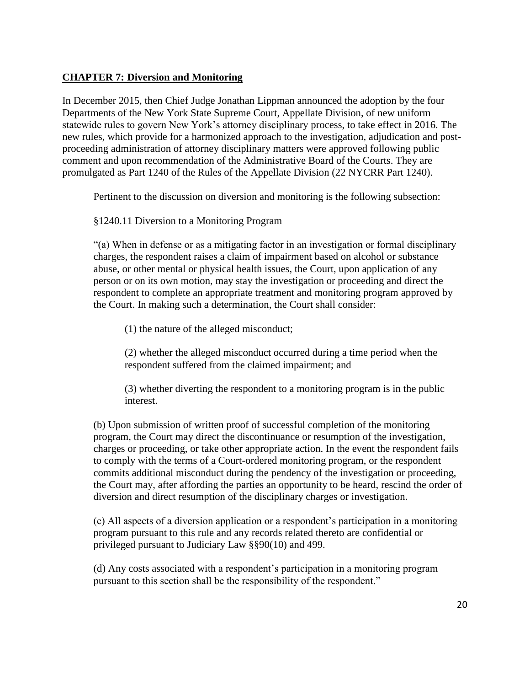## **CHAPTER 7: Diversion and Monitoring**

In December 2015, then Chief Judge Jonathan Lippman announced the adoption by the four Departments of the New York State Supreme Court, Appellate Division, of new uniform statewide rules to govern New York's attorney disciplinary process, to take effect in 2016. The new rules, which provide for a harmonized approach to the investigation, adjudication and postproceeding administration of attorney disciplinary matters were approved following public comment and upon recommendation of the Administrative Board of the Courts. They are promulgated as Part 1240 of the Rules of the Appellate Division (22 NYCRR Part 1240).

Pertinent to the discussion on diversion and monitoring is the following subsection:

## §1240.11 Diversion to a Monitoring Program

"(a) When in defense or as a mitigating factor in an investigation or formal disciplinary charges, the respondent raises a claim of impairment based on alcohol or substance abuse, or other mental or physical health issues, the Court, upon application of any person or on its own motion, may stay the investigation or proceeding and direct the respondent to complete an appropriate treatment and monitoring program approved by the Court. In making such a determination, the Court shall consider:

(1) the nature of the alleged misconduct;

(2) whether the alleged misconduct occurred during a time period when the respondent suffered from the claimed impairment; and

(3) whether diverting the respondent to a monitoring program is in the public interest.

(b) Upon submission of written proof of successful completion of the monitoring program, the Court may direct the discontinuance or resumption of the investigation, charges or proceeding, or take other appropriate action. In the event the respondent fails to comply with the terms of a Court-ordered monitoring program, or the respondent commits additional misconduct during the pendency of the investigation or proceeding, the Court may, after affording the parties an opportunity to be heard, rescind the order of diversion and direct resumption of the disciplinary charges or investigation.

(c) All aspects of a diversion application or a respondent's participation in a monitoring program pursuant to this rule and any records related thereto are confidential or privileged pursuant to Judiciary Law §§90(10) and 499.

(d) Any costs associated with a respondent's participation in a monitoring program pursuant to this section shall be the responsibility of the respondent."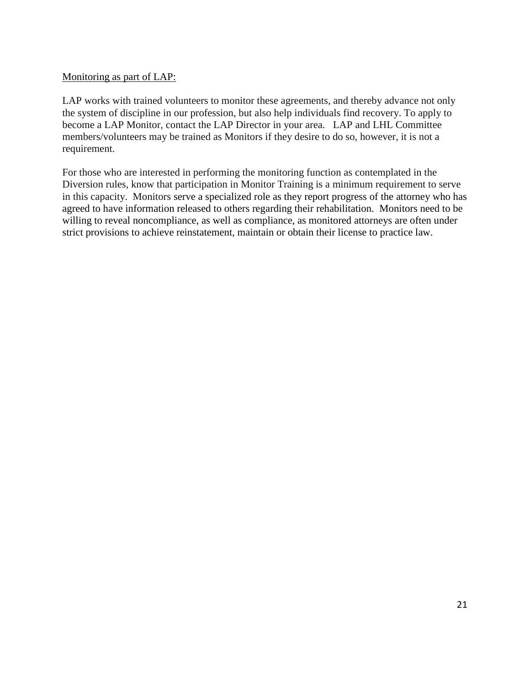#### Monitoring as part of LAP:

LAP works with trained volunteers to monitor these agreements, and thereby advance not only the system of discipline in our profession, but also help individuals find recovery. To apply to become a LAP Monitor, contact the LAP Director in your area. LAP and LHL Committee members/volunteers may be trained as Monitors if they desire to do so, however, it is not a requirement.

For those who are interested in performing the monitoring function as contemplated in the Diversion rules, know that participation in Monitor Training is a minimum requirement to serve in this capacity. Monitors serve a specialized role as they report progress of the attorney who has agreed to have information released to others regarding their rehabilitation. Monitors need to be willing to reveal noncompliance, as well as compliance, as monitored attorneys are often under strict provisions to achieve reinstatement, maintain or obtain their license to practice law.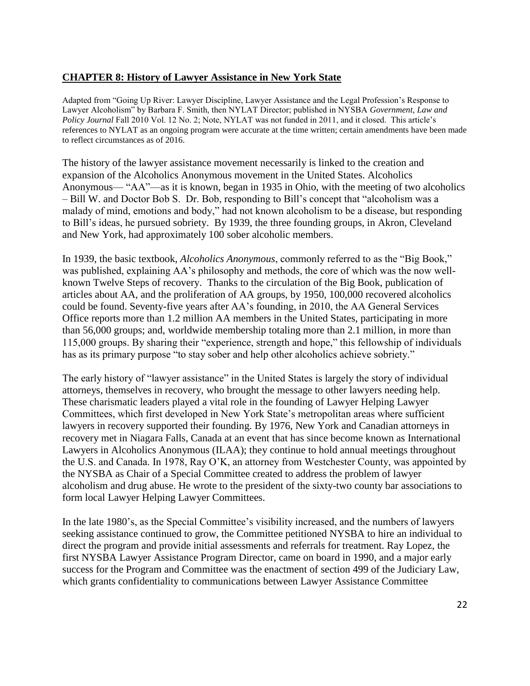## **CHAPTER 8: History of Lawyer Assistance in New York State**

Adapted from "Going Up River: Lawyer Discipline, Lawyer Assistance and the Legal Profession's Response to Lawyer Alcoholism" by Barbara F. Smith, then NYLAT Director; published in NYSBA *Government, Law and Policy Journal* Fall 2010 Vol. 12 No. 2; Note, NYLAT was not funded in 2011, and it closed. This article's references to NYLAT as an ongoing program were accurate at the time written; certain amendments have been made to reflect circumstances as of 2016.

The history of the lawyer assistance movement necessarily is linked to the creation and expansion of the Alcoholics Anonymous movement in the United States. Alcoholics Anonymous— "AA"—as it is known, began in 1935 in Ohio, with the meeting of two alcoholics – Bill W. and Doctor Bob S. Dr. Bob, responding to Bill's concept that "alcoholism was a malady of mind, emotions and body," had not known alcoholism to be a disease, but responding to Bill's ideas, he pursued sobriety. By 1939, the three founding groups, in Akron, Cleveland and New York, had approximately 100 sober alcoholic members.

In 1939, the basic textbook, *Alcoholics Anonymous*, commonly referred to as the "Big Book," was published, explaining AA's philosophy and methods, the core of which was the now wellknown Twelve Steps of recovery. Thanks to the circulation of the Big Book, publication of articles about AA, and the proliferation of AA groups, by 1950, 100,000 recovered alcoholics could be found. Seventy-five years after AA's founding, in 2010, the AA General Services Office reports more than 1.2 million AA members in the United States, participating in more than 56,000 groups; and, worldwide membership totaling more than 2.1 million, in more than 115,000 groups. By sharing their "experience, strength and hope," this fellowship of individuals has as its primary purpose "to stay sober and help other alcoholics achieve sobriety."

The early history of "lawyer assistance" in the United States is largely the story of individual attorneys, themselves in recovery, who brought the message to other lawyers needing help. These charismatic leaders played a vital role in the founding of Lawyer Helping Lawyer Committees, which first developed in New York State's metropolitan areas where sufficient lawyers in recovery supported their founding. By 1976, New York and Canadian attorneys in recovery met in Niagara Falls, Canada at an event that has since become known as International Lawyers in Alcoholics Anonymous (ILAA); they continue to hold annual meetings throughout the U.S. and Canada. In 1978, Ray O'K, an attorney from Westchester County, was appointed by the NYSBA as Chair of a Special Committee created to address the problem of lawyer alcoholism and drug abuse. He wrote to the president of the sixty-two county bar associations to form local Lawyer Helping Lawyer Committees.

In the late 1980's, as the Special Committee's visibility increased, and the numbers of lawyers seeking assistance continued to grow, the Committee petitioned NYSBA to hire an individual to direct the program and provide initial assessments and referrals for treatment. Ray Lopez, the first NYSBA Lawyer Assistance Program Director, came on board in 1990, and a major early success for the Program and Committee was the enactment of section 499 of the Judiciary Law, which grants confidentiality to communications between Lawyer Assistance Committee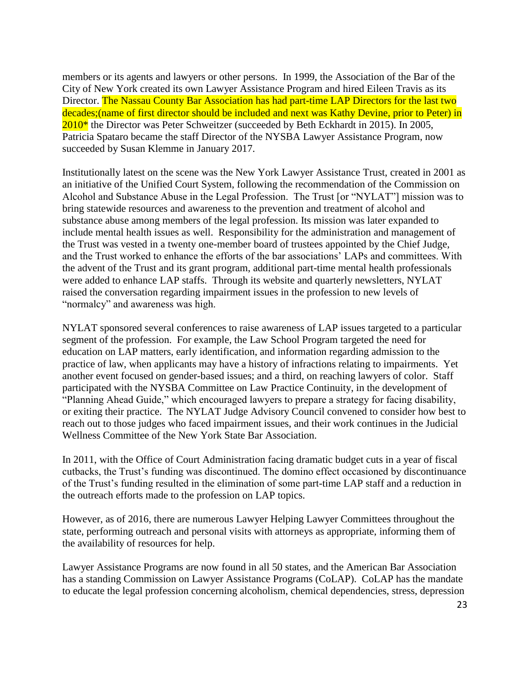members or its agents and lawyers or other persons. In 1999, the Association of the Bar of the City of New York created its own Lawyer Assistance Program and hired Eileen Travis as its Director. The Nassau County Bar Association has had part-time LAP Directors for the last two decades;(name of first director should be included and next was Kathy Devine, prior to Peter) in  $2010*$  the Director was Peter Schweitzer (succeeded by Beth Eckhardt in 2015). In 2005, Patricia Spataro became the staff Director of the NYSBA Lawyer Assistance Program, now succeeded by Susan Klemme in January 2017.

Institutionally latest on the scene was the New York Lawyer Assistance Trust, created in 2001 as an initiative of the Unified Court System, following the recommendation of the Commission on Alcohol and Substance Abuse in the Legal Profession. The Trust [or "NYLAT"] mission was to bring statewide resources and awareness to the prevention and treatment of alcohol and substance abuse among members of the legal profession. Its mission was later expanded to include mental health issues as well. Responsibility for the administration and management of the Trust was vested in a twenty one-member board of trustees appointed by the Chief Judge, and the Trust worked to enhance the efforts of the bar associations' LAPs and committees. With the advent of the Trust and its grant program, additional part-time mental health professionals were added to enhance LAP staffs. Through its website and quarterly newsletters, NYLAT raised the conversation regarding impairment issues in the profession to new levels of "normalcy" and awareness was high.

NYLAT sponsored several conferences to raise awareness of LAP issues targeted to a particular segment of the profession. For example, the Law School Program targeted the need for education on LAP matters, early identification, and information regarding admission to the practice of law, when applicants may have a history of infractions relating to impairments. Yet another event focused on gender-based issues; and a third, on reaching lawyers of color. Staff participated with the NYSBA Committee on Law Practice Continuity, in the development of "Planning Ahead Guide," which encouraged lawyers to prepare a strategy for facing disability, or exiting their practice. The NYLAT Judge Advisory Council convened to consider how best to reach out to those judges who faced impairment issues, and their work continues in the Judicial Wellness Committee of the New York State Bar Association.

In 2011, with the Office of Court Administration facing dramatic budget cuts in a year of fiscal cutbacks, the Trust's funding was discontinued. The domino effect occasioned by discontinuance of the Trust's funding resulted in the elimination of some part-time LAP staff and a reduction in the outreach efforts made to the profession on LAP topics.

However, as of 2016, there are numerous Lawyer Helping Lawyer Committees throughout the state, performing outreach and personal visits with attorneys as appropriate, informing them of the availability of resources for help.

Lawyer Assistance Programs are now found in all 50 states, and the American Bar Association has a standing Commission on Lawyer Assistance Programs (CoLAP). CoLAP has the mandate to educate the legal profession concerning alcoholism, chemical dependencies, stress, depression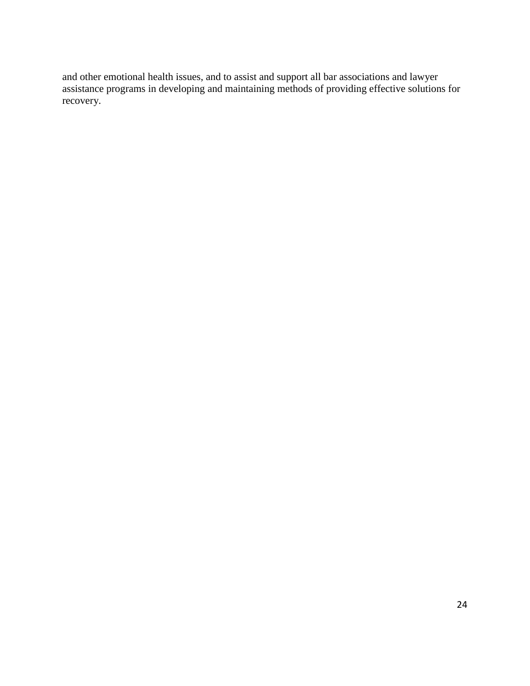and other emotional health issues, and to assist and support all bar associations and lawyer assistance programs in developing and maintaining methods of providing effective solutions for recovery.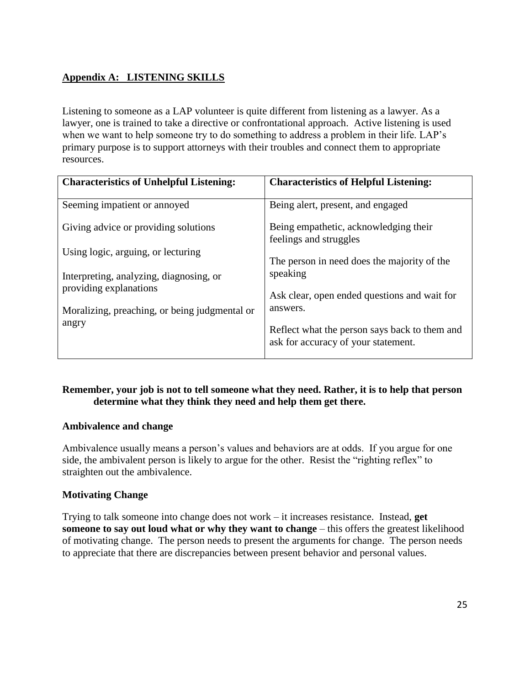# **Appendix A: LISTENING SKILLS**

Listening to someone as a LAP volunteer is quite different from listening as a lawyer. As a lawyer, one is trained to take a directive or confrontational approach. Active listening is used when we want to help someone try to do something to address a problem in their life. LAP's primary purpose is to support attorneys with their troubles and connect them to appropriate resources.

| <b>Characteristics of Unhelpful Listening:</b>                    | <b>Characteristics of Helpful Listening:</b>                                         |
|-------------------------------------------------------------------|--------------------------------------------------------------------------------------|
| Seeming impatient or annoyed                                      | Being alert, present, and engaged                                                    |
| Giving advice or providing solutions                              | Being empathetic, acknowledging their<br>feelings and struggles                      |
| Using logic, arguing, or lecturing                                | The person in need does the majority of the                                          |
| Interpreting, analyzing, diagnosing, or<br>providing explanations | speaking                                                                             |
| Moralizing, preaching, or being judgmental or                     | Ask clear, open ended questions and wait for<br>answers.                             |
| angry                                                             | Reflect what the person says back to them and<br>ask for accuracy of your statement. |

## **Remember, your job is not to tell someone what they need. Rather, it is to help that person determine what they think they need and help them get there.**

#### **Ambivalence and change**

Ambivalence usually means a person's values and behaviors are at odds. If you argue for one side, the ambivalent person is likely to argue for the other. Resist the "righting reflex" to straighten out the ambivalence.

## **Motivating Change**

Trying to talk someone into change does not work – it increases resistance. Instead, **get someone to say out loud what or why they want to change** – this offers the greatest likelihood of motivating change. The person needs to present the arguments for change. The person needs to appreciate that there are discrepancies between present behavior and personal values.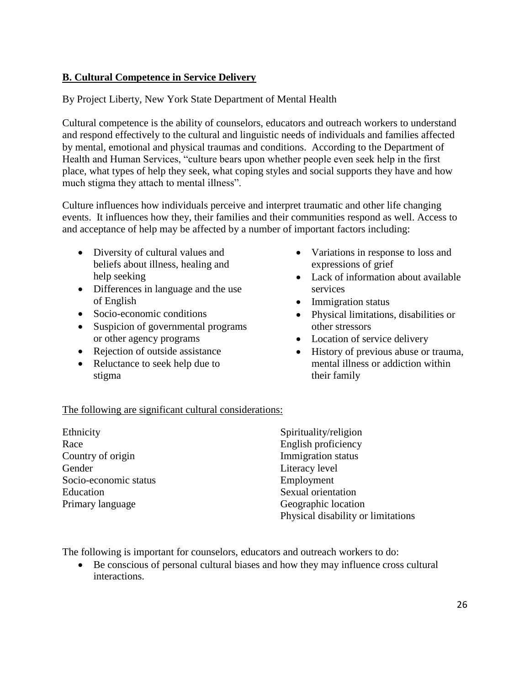## **B. Cultural Competence in Service Delivery**

## By Project Liberty, New York State Department of Mental Health

Cultural competence is the ability of counselors, educators and outreach workers to understand and respond effectively to the cultural and linguistic needs of individuals and families affected by mental, emotional and physical traumas and conditions. According to the Department of Health and Human Services, "culture bears upon whether people even seek help in the first place, what types of help they seek, what coping styles and social supports they have and how much stigma they attach to mental illness".

Culture influences how individuals perceive and interpret traumatic and other life changing events. It influences how they, their families and their communities respond as well. Access to and acceptance of help may be affected by a number of important factors including:

- Diversity of cultural values and beliefs about illness, healing and help seeking
- Differences in language and the use of English
- Socio-economic conditions
- Suspicion of governmental programs or other agency programs
- Rejection of outside assistance
- Reluctance to seek help due to stigma
- Variations in response to loss and expressions of grief
- Lack of information about available services
- Immigration status
- Physical limitations, disabilities or other stressors
- Location of service delivery
- History of previous abuse or trauma, mental illness or addiction within their family

#### The following are significant cultural considerations:

| Ethnicity             | Spirituality/religion              |
|-----------------------|------------------------------------|
| Race                  | English proficiency                |
| Country of origin     | Immigration status                 |
| Gender                | Literacy level                     |
| Socio-economic status | Employment                         |
| Education             | Sexual orientation                 |
| Primary language      | Geographic location                |
|                       | Physical disability or limitations |

The following is important for counselors, educators and outreach workers to do:

 Be conscious of personal cultural biases and how they may influence cross cultural interactions.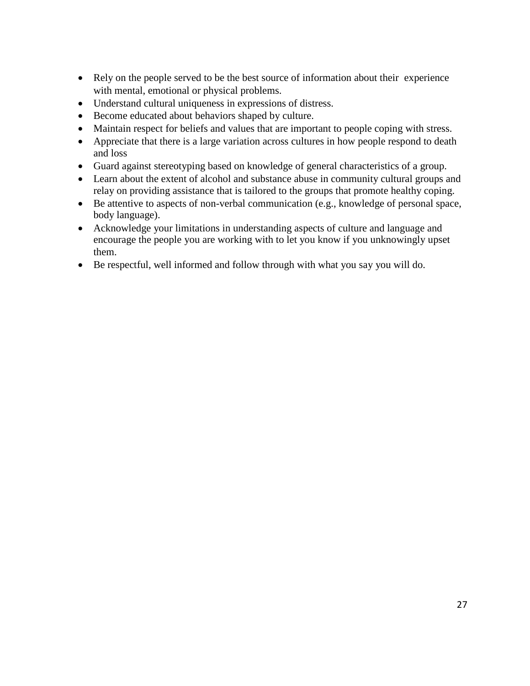- Rely on the people served to be the best source of information about their experience with mental, emotional or physical problems.
- Understand cultural uniqueness in expressions of distress.
- Become educated about behaviors shaped by culture.
- Maintain respect for beliefs and values that are important to people coping with stress.
- Appreciate that there is a large variation across cultures in how people respond to death and loss
- Guard against stereotyping based on knowledge of general characteristics of a group.
- Learn about the extent of alcohol and substance abuse in community cultural groups and relay on providing assistance that is tailored to the groups that promote healthy coping.
- Be attentive to aspects of non-verbal communication (e.g., knowledge of personal space, body language).
- Acknowledge your limitations in understanding aspects of culture and language and encourage the people you are working with to let you know if you unknowingly upset them.
- Be respectful, well informed and follow through with what you say you will do.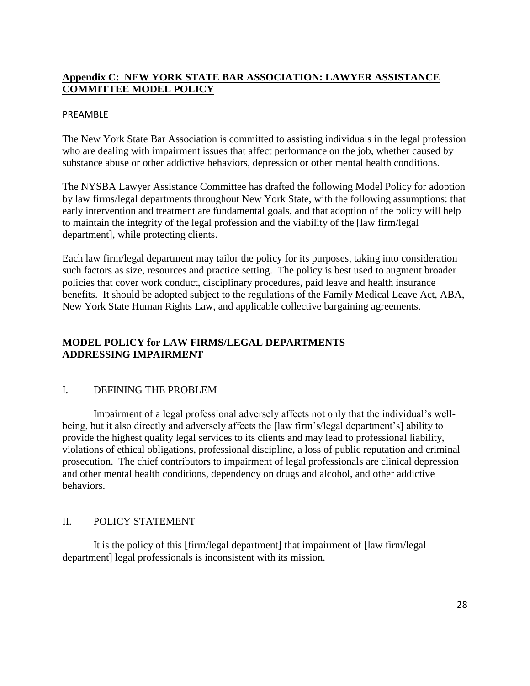## **Appendix C: NEW YORK STATE BAR ASSOCIATION: LAWYER ASSISTANCE COMMITTEE MODEL POLICY**

#### PREAMBLE

The New York State Bar Association is committed to assisting individuals in the legal profession who are dealing with impairment issues that affect performance on the job, whether caused by substance abuse or other addictive behaviors, depression or other mental health conditions.

The NYSBA Lawyer Assistance Committee has drafted the following Model Policy for adoption by law firms/legal departments throughout New York State, with the following assumptions: that early intervention and treatment are fundamental goals, and that adoption of the policy will help to maintain the integrity of the legal profession and the viability of the [law firm/legal department], while protecting clients.

Each law firm/legal department may tailor the policy for its purposes, taking into consideration such factors as size, resources and practice setting. The policy is best used to augment broader policies that cover work conduct, disciplinary procedures, paid leave and health insurance benefits. It should be adopted subject to the regulations of the Family Medical Leave Act, ABA, New York State Human Rights Law, and applicable collective bargaining agreements.

# **MODEL POLICY for LAW FIRMS/LEGAL DEPARTMENTS ADDRESSING IMPAIRMENT**

## I. DEFINING THE PROBLEM

Impairment of a legal professional adversely affects not only that the individual's wellbeing, but it also directly and adversely affects the [law firm's/legal department's] ability to provide the highest quality legal services to its clients and may lead to professional liability, violations of ethical obligations, professional discipline, a loss of public reputation and criminal prosecution. The chief contributors to impairment of legal professionals are clinical depression and other mental health conditions, dependency on drugs and alcohol, and other addictive behaviors.

#### II. POLICY STATEMENT

It is the policy of this [firm/legal department] that impairment of [law firm/legal department] legal professionals is inconsistent with its mission.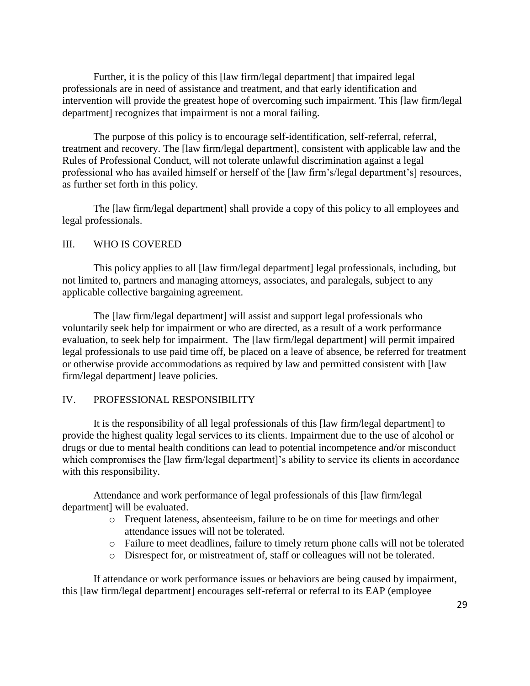Further, it is the policy of this [law firm/legal department] that impaired legal professionals are in need of assistance and treatment, and that early identification and intervention will provide the greatest hope of overcoming such impairment. This [law firm/legal department] recognizes that impairment is not a moral failing.

The purpose of this policy is to encourage self-identification, self-referral, referral, treatment and recovery. The [law firm/legal department], consistent with applicable law and the Rules of Professional Conduct, will not tolerate unlawful discrimination against a legal professional who has availed himself or herself of the [law firm's/legal department's] resources, as further set forth in this policy.

The [law firm/legal department] shall provide a copy of this policy to all employees and legal professionals.

#### III. WHO IS COVERED

This policy applies to all [law firm/legal department] legal professionals, including, but not limited to, partners and managing attorneys, associates, and paralegals, subject to any applicable collective bargaining agreement.

The [law firm/legal department] will assist and support legal professionals who voluntarily seek help for impairment or who are directed, as a result of a work performance evaluation, to seek help for impairment. The [law firm/legal department] will permit impaired legal professionals to use paid time off, be placed on a leave of absence, be referred for treatment or otherwise provide accommodations as required by law and permitted consistent with [law firm/legal department] leave policies.

#### IV. PROFESSIONAL RESPONSIBILITY

It is the responsibility of all legal professionals of this [law firm/legal department] to provide the highest quality legal services to its clients. Impairment due to the use of alcohol or drugs or due to mental health conditions can lead to potential incompetence and/or misconduct which compromises the [law firm/legal department]'s ability to service its clients in accordance with this responsibility.

Attendance and work performance of legal professionals of this [law firm/legal department] will be evaluated.

- o Frequent lateness, absenteeism, failure to be on time for meetings and other attendance issues will not be tolerated.
- o Failure to meet deadlines, failure to timely return phone calls will not be tolerated
- o Disrespect for, or mistreatment of, staff or colleagues will not be tolerated.

If attendance or work performance issues or behaviors are being caused by impairment, this [law firm/legal department] encourages self-referral or referral to its EAP (employee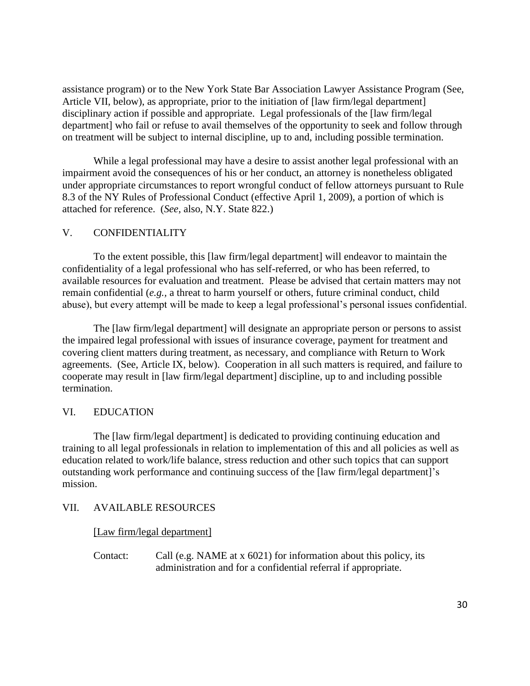assistance program) or to the New York State Bar Association Lawyer Assistance Program (See, Article VII, below), as appropriate, prior to the initiation of [law firm/legal department] disciplinary action if possible and appropriate. Legal professionals of the [law firm/legal department] who fail or refuse to avail themselves of the opportunity to seek and follow through on treatment will be subject to internal discipline, up to and, including possible termination.

While a legal professional may have a desire to assist another legal professional with an impairment avoid the consequences of his or her conduct, an attorney is nonetheless obligated under appropriate circumstances to report wrongful conduct of fellow attorneys pursuant to Rule 8.3 of the NY Rules of Professional Conduct (effective April 1, 2009), a portion of which is attached for reference. (*See*, also, N.Y. State 822.)

#### V. CONFIDENTIALITY

To the extent possible, this [law firm/legal department] will endeavor to maintain the confidentiality of a legal professional who has self-referred, or who has been referred, to available resources for evaluation and treatment. Please be advised that certain matters may not remain confidential (*e.g.,* a threat to harm yourself or others, future criminal conduct, child abuse), but every attempt will be made to keep a legal professional's personal issues confidential.

The [law firm/legal department] will designate an appropriate person or persons to assist the impaired legal professional with issues of insurance coverage, payment for treatment and covering client matters during treatment, as necessary, and compliance with Return to Work agreements. (See, Article IX, below). Cooperation in all such matters is required, and failure to cooperate may result in [law firm/legal department] discipline, up to and including possible termination.

#### VI. EDUCATION

The [law firm/legal department] is dedicated to providing continuing education and training to all legal professionals in relation to implementation of this and all policies as well as education related to work/life balance, stress reduction and other such topics that can support outstanding work performance and continuing success of the [law firm/legal department]'s mission.

#### VII. AVAILABLE RESOURCES

#### [Law firm/legal department]

Contact: Call (e.g. NAME at x 6021) for information about this policy, its administration and for a confidential referral if appropriate.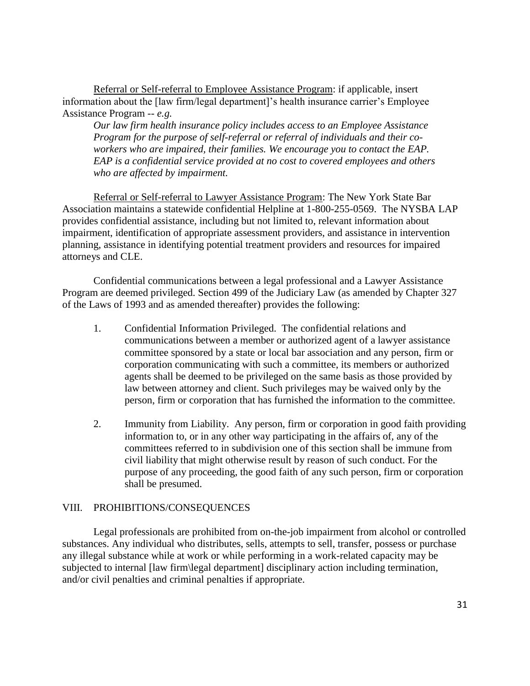Referral or Self-referral to Employee Assistance Program: if applicable, insert information about the [law firm/legal department]'s health insurance carrier's Employee Assistance Program -- *e.g.*

*Our law firm health insurance policy includes access to an Employee Assistance Program for the purpose of self-referral or referral of individuals and their coworkers who are impaired, their families. We encourage you to contact the EAP. EAP is a confidential service provided at no cost to covered employees and others who are affected by impairment.*

Referral or Self-referral to Lawyer Assistance Program: The New York State Bar Association maintains a statewide confidential Helpline at 1-800-255-0569. The NYSBA LAP provides confidential assistance, including but not limited to, relevant information about impairment, identification of appropriate assessment providers, and assistance in intervention planning, assistance in identifying potential treatment providers and resources for impaired attorneys and CLE.

Confidential communications between a legal professional and a Lawyer Assistance Program are deemed privileged. Section 499 of the Judiciary Law (as amended by Chapter 327 of the Laws of 1993 and as amended thereafter) provides the following:

- 1. Confidential Information Privileged. The confidential relations and communications between a member or authorized agent of a lawyer assistance committee sponsored by a state or local bar association and any person, firm or corporation communicating with such a committee, its members or authorized agents shall be deemed to be privileged on the same basis as those provided by law between attorney and client. Such privileges may be waived only by the person, firm or corporation that has furnished the information to the committee.
- 2. Immunity from Liability. Any person, firm or corporation in good faith providing information to, or in any other way participating in the affairs of, any of the committees referred to in subdivision one of this section shall be immune from civil liability that might otherwise result by reason of such conduct. For the purpose of any proceeding, the good faith of any such person, firm or corporation shall be presumed.

#### VIII. PROHIBITIONS/CONSEQUENCES

Legal professionals are prohibited from on-the-job impairment from alcohol or controlled substances. Any individual who distributes, sells, attempts to sell, transfer, possess or purchase any illegal substance while at work or while performing in a work-related capacity may be subjected to internal [law firm\legal department] disciplinary action including termination, and/or civil penalties and criminal penalties if appropriate.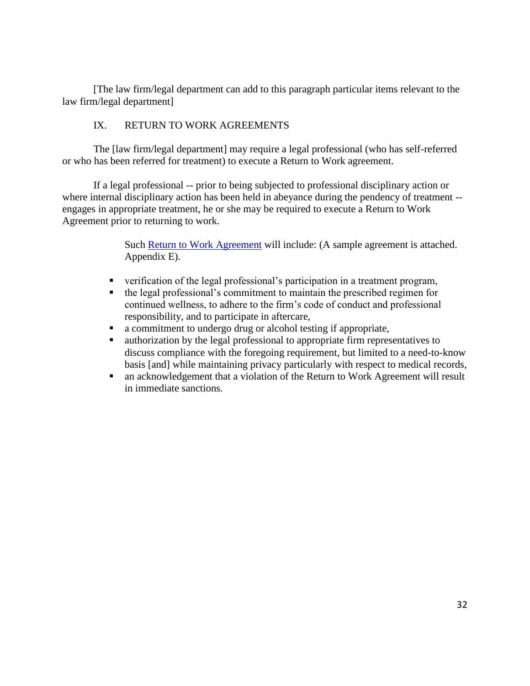[The law firm/legal department can add to this paragraph particular items relevant to the law firm/legal department]

## IX. RETURN TO WORK AGREEMENTS

The [law firm/legal department] may require a legal professional (who has self-referred or who has been referred for treatment) to execute a Return to Work agreement.

If a legal professional -- prior to being subjected to professional disciplinary action or where internal disciplinary action has been held in abeyance during the pendency of treatment -engages in appropriate treatment, he or she may be required to execute a Return to Work Agreement prior to returning to work.

> Such [Return to Work Agreement](file:///C:/Users/lmcmahon/Desktop/Return%20to%20Work%20Agreement.pdf) will include: (A sample agreement is attached. Appendix E).

- verification of the legal professional's participation in a treatment program,
- the legal professional's commitment to maintain the prescribed regimen for continued wellness, to adhere to the firm's code of conduct and professional responsibility, and to participate in aftercare,
- a commitment to undergo drug or alcohol testing if appropriate,
- authorization by the legal professional to appropriate firm representatives to discuss compliance with the foregoing requirement, but limited to a need-to-know basis [and] while maintaining privacy particularly with respect to medical records,
- an acknowledgement that a violation of the Return to Work Agreement will result in immediate sanctions.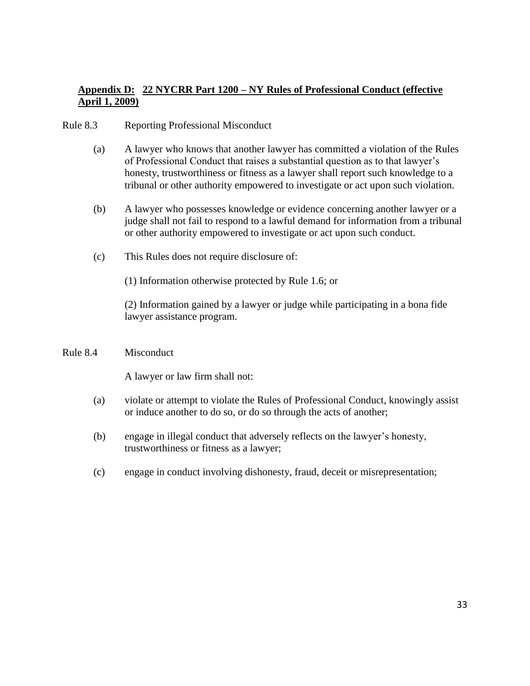## **Appendix D: 22 NYCRR Part 1200 – NY Rules of Professional Conduct (effective April 1, 2009)**

- Rule 8.3 Reporting Professional Misconduct
	- (a) A lawyer who knows that another lawyer has committed a violation of the Rules of Professional Conduct that raises a substantial question as to that lawyer's honesty, trustworthiness or fitness as a lawyer shall report such knowledge to a tribunal or other authority empowered to investigate or act upon such violation.
	- (b) A lawyer who possesses knowledge or evidence concerning another lawyer or a judge shall not fail to respond to a lawful demand for information from a tribunal or other authority empowered to investigate or act upon such conduct.
	- (c) This Rules does not require disclosure of:

(1) Information otherwise protected by Rule 1.6; or

(2) Information gained by a lawyer or judge while participating in a bona fide lawyer assistance program.

#### Rule 8.4 Misconduct

A lawyer or law firm shall not:

- (a) violate or attempt to violate the Rules of Professional Conduct, knowingly assist or induce another to do so, or do so through the acts of another;
- (b) engage in illegal conduct that adversely reflects on the lawyer's honesty, trustworthiness or fitness as a lawyer;
- (c) engage in conduct involving dishonesty, fraud, deceit or misrepresentation;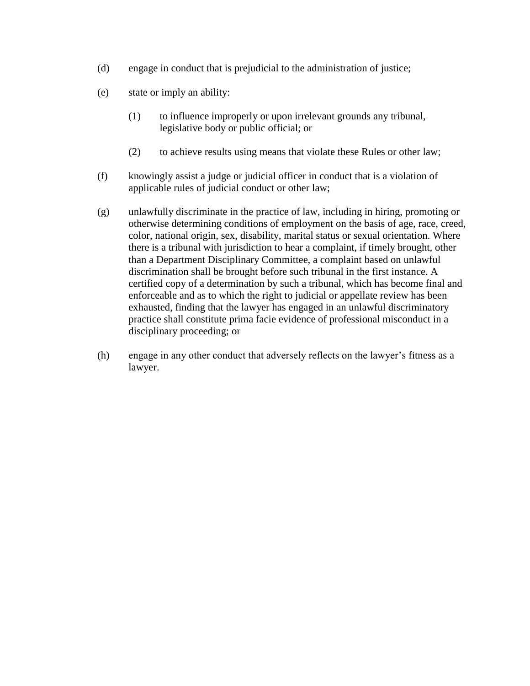- (d) engage in conduct that is prejudicial to the administration of justice;
- (e) state or imply an ability:
	- (1) to influence improperly or upon irrelevant grounds any tribunal, legislative body or public official; or
	- (2) to achieve results using means that violate these Rules or other law;
- (f) knowingly assist a judge or judicial officer in conduct that is a violation of applicable rules of judicial conduct or other law;
- (g) unlawfully discriminate in the practice of law, including in hiring, promoting or otherwise determining conditions of employment on the basis of age, race, creed, color, national origin, sex, disability, marital status or sexual orientation. Where there is a tribunal with jurisdiction to hear a complaint, if timely brought, other than a Department Disciplinary Committee, a complaint based on unlawful discrimination shall be brought before such tribunal in the first instance. A certified copy of a determination by such a tribunal, which has become final and enforceable and as to which the right to judicial or appellate review has been exhausted, finding that the lawyer has engaged in an unlawful discriminatory practice shall constitute prima facie evidence of professional misconduct in a disciplinary proceeding; or
- (h) engage in any other conduct that adversely reflects on the lawyer's fitness as a lawyer.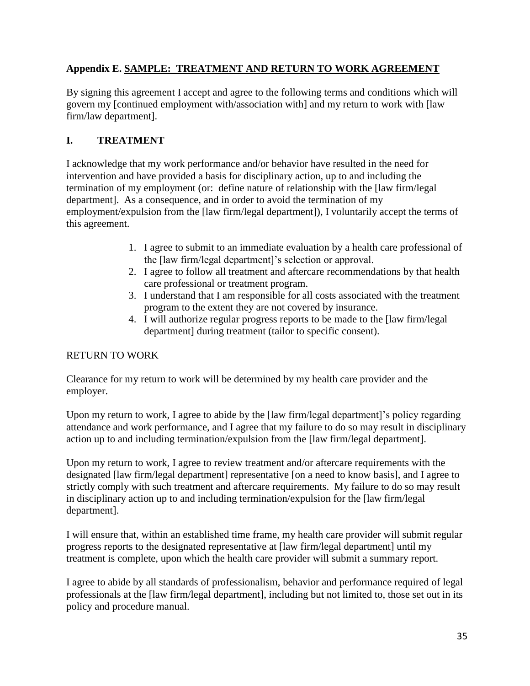# **Appendix E. SAMPLE: TREATMENT AND RETURN TO WORK AGREEMENT**

By signing this agreement I accept and agree to the following terms and conditions which will govern my [continued employment with/association with] and my return to work with [law firm/law department].

# **I. TREATMENT**

I acknowledge that my work performance and/or behavior have resulted in the need for intervention and have provided a basis for disciplinary action, up to and including the termination of my employment (or: define nature of relationship with the [law firm/legal department]. As a consequence, and in order to avoid the termination of my employment/expulsion from the [law firm/legal department]), I voluntarily accept the terms of this agreement.

- 1. I agree to submit to an immediate evaluation by a health care professional of the [law firm/legal department]'s selection or approval.
- 2. I agree to follow all treatment and aftercare recommendations by that health care professional or treatment program.
- 3. I understand that I am responsible for all costs associated with the treatment program to the extent they are not covered by insurance.
- 4. I will authorize regular progress reports to be made to the [law firm/legal department] during treatment (tailor to specific consent).

# RETURN TO WORK

Clearance for my return to work will be determined by my health care provider and the employer.

Upon my return to work, I agree to abide by the [law firm/legal department]'s policy regarding attendance and work performance, and I agree that my failure to do so may result in disciplinary action up to and including termination/expulsion from the [law firm/legal department].

Upon my return to work, I agree to review treatment and/or aftercare requirements with the designated [law firm/legal department] representative [on a need to know basis], and I agree to strictly comply with such treatment and aftercare requirements. My failure to do so may result in disciplinary action up to and including termination/expulsion for the [law firm/legal department].

I will ensure that, within an established time frame, my health care provider will submit regular progress reports to the designated representative at [law firm/legal department] until my treatment is complete, upon which the health care provider will submit a summary report.

I agree to abide by all standards of professionalism, behavior and performance required of legal professionals at the [law firm/legal department], including but not limited to, those set out in its policy and procedure manual.